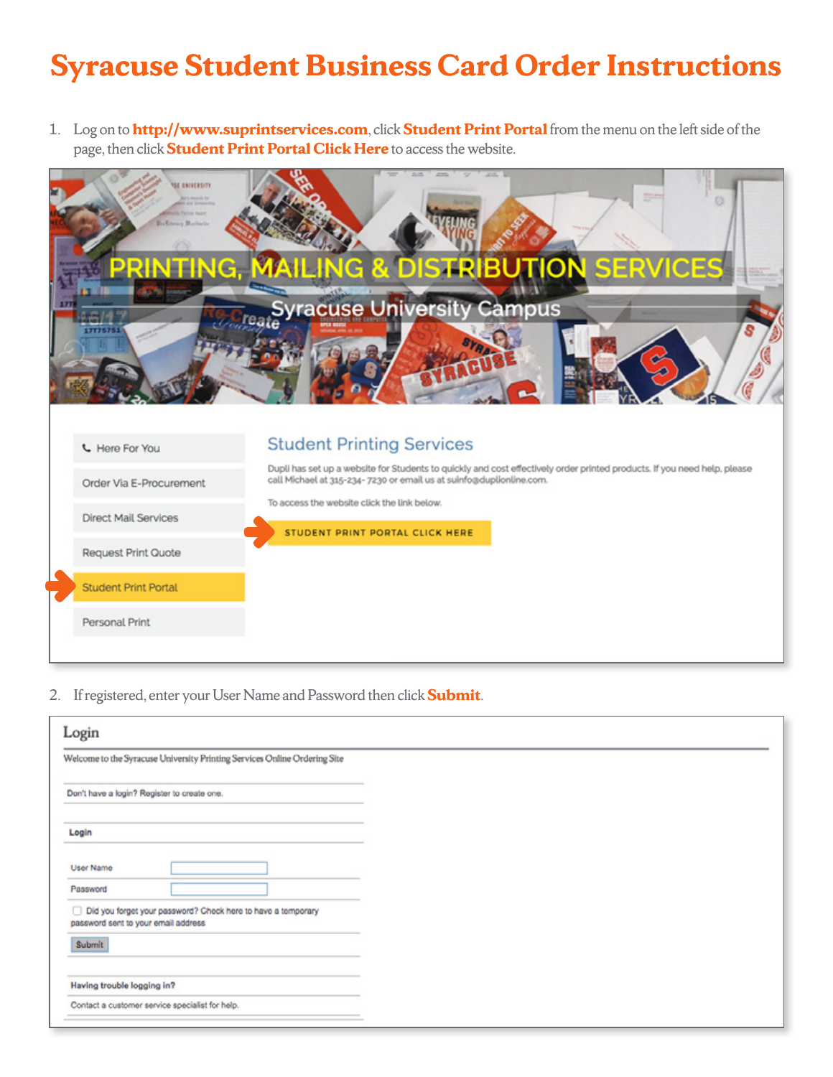## **Syracuse Student Business Card Order Instructions**

1. Log on to **http://www.suprintservices.com**, click **Student Print Portal** from the menu on the left side of the page, then click **Student Print Portal Click Here** to access the website.



2. If registered, enter your User Name and Password then click **Submit**.

| Login                                                                                               |  |
|-----------------------------------------------------------------------------------------------------|--|
| Welcome to the Syracuse University Printing Services Online Ordering Site                           |  |
| Don't have a login? Register to create one.                                                         |  |
| Login                                                                                               |  |
| User Name                                                                                           |  |
| Password                                                                                            |  |
| Did you forget your password? Check here to have a temporary<br>password sent to your email address |  |
| Submit                                                                                              |  |
| Having trouble logging in?                                                                          |  |
| Contact a customer service specialist for help.                                                     |  |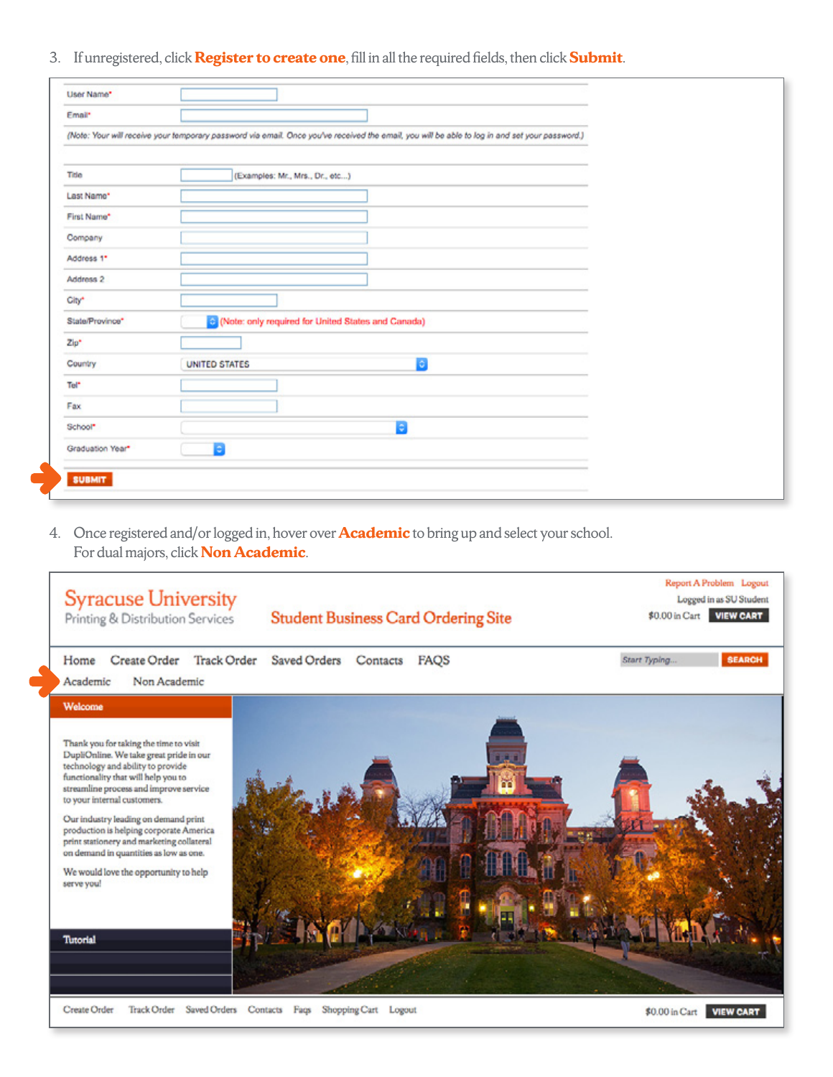3. If unregistered, click **Register to create one**, fill in all the required fields, then click **Submit**.

| Email*           |                                                                                                                                                |  |
|------------------|------------------------------------------------------------------------------------------------------------------------------------------------|--|
|                  |                                                                                                                                                |  |
|                  | (Note: Your will receive your temporary password via email. Once you've received the email, you will be able to log in and set your password.) |  |
|                  |                                                                                                                                                |  |
| Title            | (Examples: Mr., Mrs., Dr., etc)                                                                                                                |  |
| Last Name*       |                                                                                                                                                |  |
| First Name*      |                                                                                                                                                |  |
| Company          |                                                                                                                                                |  |
| Address 1*       |                                                                                                                                                |  |
| Address 2        |                                                                                                                                                |  |
| City*            |                                                                                                                                                |  |
| State/Province*  | C (Note: only required for United States and Canada)                                                                                           |  |
| Zip*             |                                                                                                                                                |  |
| Country          | Ð<br><b>UNITED STATES</b>                                                                                                                      |  |
| Tel <sup>*</sup> |                                                                                                                                                |  |
| Fax              |                                                                                                                                                |  |
| School*          | $\ddot{\phantom{1}}$                                                                                                                           |  |
| Graduation Year* | в                                                                                                                                              |  |
|                  |                                                                                                                                                |  |

4. Once registered and/or logged in, hover over **Academic** to bring up and select your school. For dual majors, click **Non Academic**.

| <b>Syracuse University</b><br>Printing & Distribution Services                                                                                                                                                                                                                                                                                                                                                                                                                     | <b>Student Business Card Ordering Site</b>            | Report A Problem Logout<br>Logged in as SU Student<br><b>VIEW CART</b><br>\$0.00 in Cart |
|------------------------------------------------------------------------------------------------------------------------------------------------------------------------------------------------------------------------------------------------------------------------------------------------------------------------------------------------------------------------------------------------------------------------------------------------------------------------------------|-------------------------------------------------------|------------------------------------------------------------------------------------------|
| Create Order<br><b>Track Order</b><br>Home<br>Non Academic<br>Academic                                                                                                                                                                                                                                                                                                                                                                                                             | Saved Orders<br>Contacts<br>FAQS                      | <b>SEARCH</b><br>Start Typing                                                            |
| Welcome<br>Thank you for taking the time to visit<br>DupliOnline. We take great pride in our<br>technology and ability to provide<br>functionality that will help you to<br>streamline process and improve service<br>to your internal customers.<br>Our industry leading on demand print<br>production is helping corporate America<br>print stationery and marketing collateral<br>on demand in quantities as low as one.<br>We would love the opportunity to help<br>serve you! |                                                       |                                                                                          |
| <b>Tutorial</b>                                                                                                                                                                                                                                                                                                                                                                                                                                                                    |                                                       |                                                                                          |
| <b>Create Order</b><br>Track Order                                                                                                                                                                                                                                                                                                                                                                                                                                                 | Saved Orders Contacts Faqs<br>Shopping Cart<br>Logout | <b>VIEW CART</b><br>\$0.00 in Cart                                                       |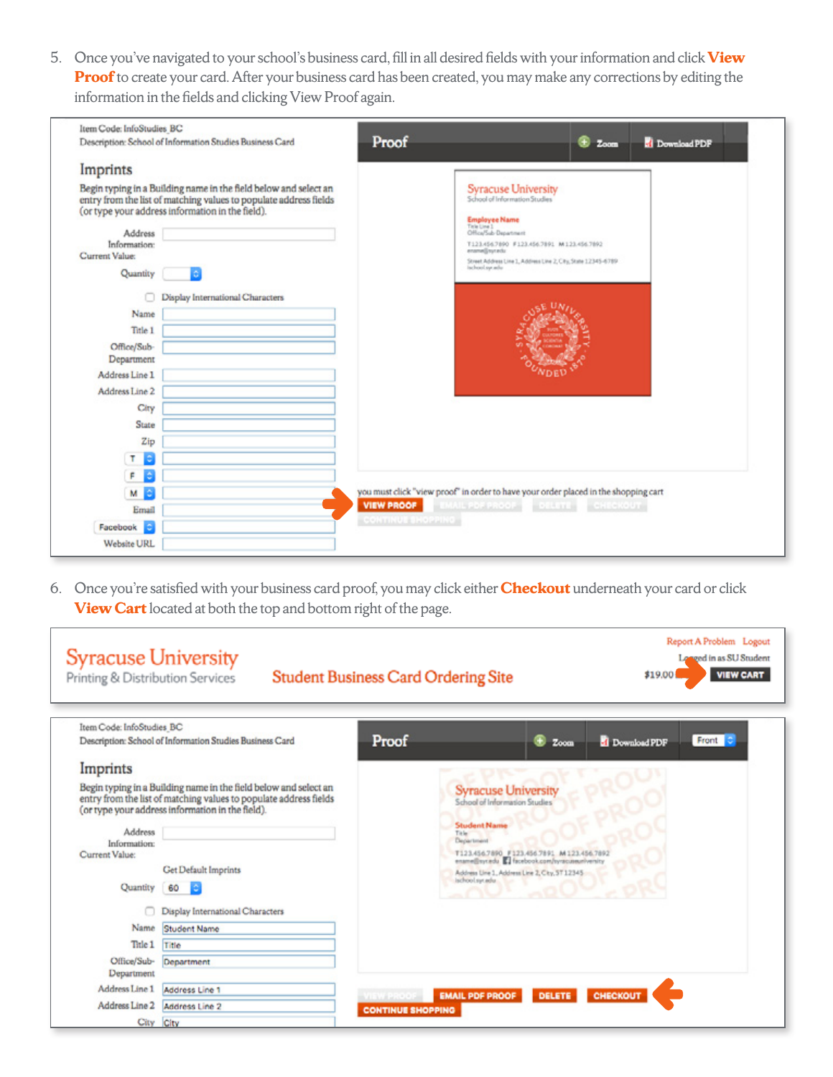5. Once you've navigated to your school's business card, fill in all desired fields with your information and click **View Proof** to create your card. After your business card has been created, you may make any corrections by editing the information in the fields and clicking View Proof again.

| Item Code: InfoStudies_BC<br>Description: School of Information Studies Business Card                                                                                                                                                                                                                                                                                                                                            | Proof<br>⊛<br><b>d</b> Download PDF<br>Zoom                                                                                                                                                                                                                                 |
|----------------------------------------------------------------------------------------------------------------------------------------------------------------------------------------------------------------------------------------------------------------------------------------------------------------------------------------------------------------------------------------------------------------------------------|-----------------------------------------------------------------------------------------------------------------------------------------------------------------------------------------------------------------------------------------------------------------------------|
| Imprints                                                                                                                                                                                                                                                                                                                                                                                                                         |                                                                                                                                                                                                                                                                             |
| Begin typing in a Building name in the field below and select an<br>entry from the list of matching values to populate address fields<br>(or type your address information in the field).<br>Address<br>Information:<br>Current Value:<br>Quantity<br><b>O</b><br>Display International Characters<br>Name<br>Title 1<br>Office/Sub-<br>Department<br>Address Line 1<br>Address Line 2<br>City<br>State<br>Zip<br>$\bullet$<br>T | <b>Syracuse University</b><br>School of Information Studies<br><b>Employee Name</b><br>This Unit<br>Office/Sub-Department<br>T123.456.7890 F123.456.7891 M123.456.7892<br>ensmellinutedu<br>Street Address Line 1, Address Line 2, City, State 12345-6789<br>ischool.op.adu |
| ٠<br>F.<br>м<br>٠                                                                                                                                                                                                                                                                                                                                                                                                                | you must click "view proof" in order to have your order placed in the shopping cart<br><b>VIEW PROOF</b> EMAIL PDF PROOF DELETE CHECKOUT                                                                                                                                    |
| Email                                                                                                                                                                                                                                                                                                                                                                                                                            | <b>CONTINUE SHOPPING</b>                                                                                                                                                                                                                                                    |
| <b>IC</b><br>Facebook                                                                                                                                                                                                                                                                                                                                                                                                            |                                                                                                                                                                                                                                                                             |
| Website URL                                                                                                                                                                                                                                                                                                                                                                                                                      |                                                                                                                                                                                                                                                                             |

6. Once you're satisfied with your business card proof, you may click either **Checkout** underneath your card or click **View Cart** located at both the top and bottom right of the page.

| <b>Syracuse University</b><br>Printing & Distribution Services |                                                                                                                                                                                           | <b>Student Business Card Ordering Site</b> |                                                                                                  | \$19.00               | Report A Problem Logout<br>Longed in as SU Student<br><b>VIEW CART</b> |
|----------------------------------------------------------------|-------------------------------------------------------------------------------------------------------------------------------------------------------------------------------------------|--------------------------------------------|--------------------------------------------------------------------------------------------------|-----------------------|------------------------------------------------------------------------|
| Item Code: InfoStudies BC                                      | Description: School of Information Studies Business Card                                                                                                                                  | Proof                                      | ⊕<br>Zoom                                                                                        | <b>d</b> Download PDF | Front 3                                                                |
| Imprints                                                       |                                                                                                                                                                                           |                                            |                                                                                                  |                       |                                                                        |
|                                                                | Begin typing in a Building name in the field below and select an<br>entry from the list of matching values to populate address fields<br>(or type your address information in the field). |                                            | <b>Syracuse University</b><br>School of Information Studies                                      |                       |                                                                        |
| Address                                                        |                                                                                                                                                                                           | Title<br>Department                        | <b>Student Name</b>                                                                              |                       |                                                                        |
| Information:<br>Current Value:                                 |                                                                                                                                                                                           |                                            | T123.456.7890 F123.456.7891 M123.456.7892                                                        |                       |                                                                        |
|                                                                | Get Default Imprints                                                                                                                                                                      |                                            | ename@sycedu C facebook.com/syracuseum/versity<br>Address Line 1, Address Line 2, City, 57 12345 |                       |                                                                        |
| Quantity                                                       | 60                                                                                                                                                                                        |                                            | ischool.sycadu.                                                                                  |                       |                                                                        |
|                                                                | Display International Characters                                                                                                                                                          |                                            |                                                                                                  |                       |                                                                        |
| Name                                                           | Student Name                                                                                                                                                                              |                                            |                                                                                                  |                       |                                                                        |
| Thie 1                                                         | Title                                                                                                                                                                                     |                                            |                                                                                                  |                       |                                                                        |
| Office/Sub-<br>Department                                      | Department                                                                                                                                                                                |                                            |                                                                                                  |                       |                                                                        |
| Address Line 1                                                 | Address Line 1                                                                                                                                                                            | <b>VIEW PROOF</b>                          | <b>EMAIL PDF PROOF</b>                                                                           | DELETE CHECKOUT       |                                                                        |
| Address Line 2                                                 | Address Line 2                                                                                                                                                                            | <b>CONTINUE SHOPPING</b>                   |                                                                                                  |                       |                                                                        |
|                                                                | City City                                                                                                                                                                                 |                                            |                                                                                                  |                       |                                                                        |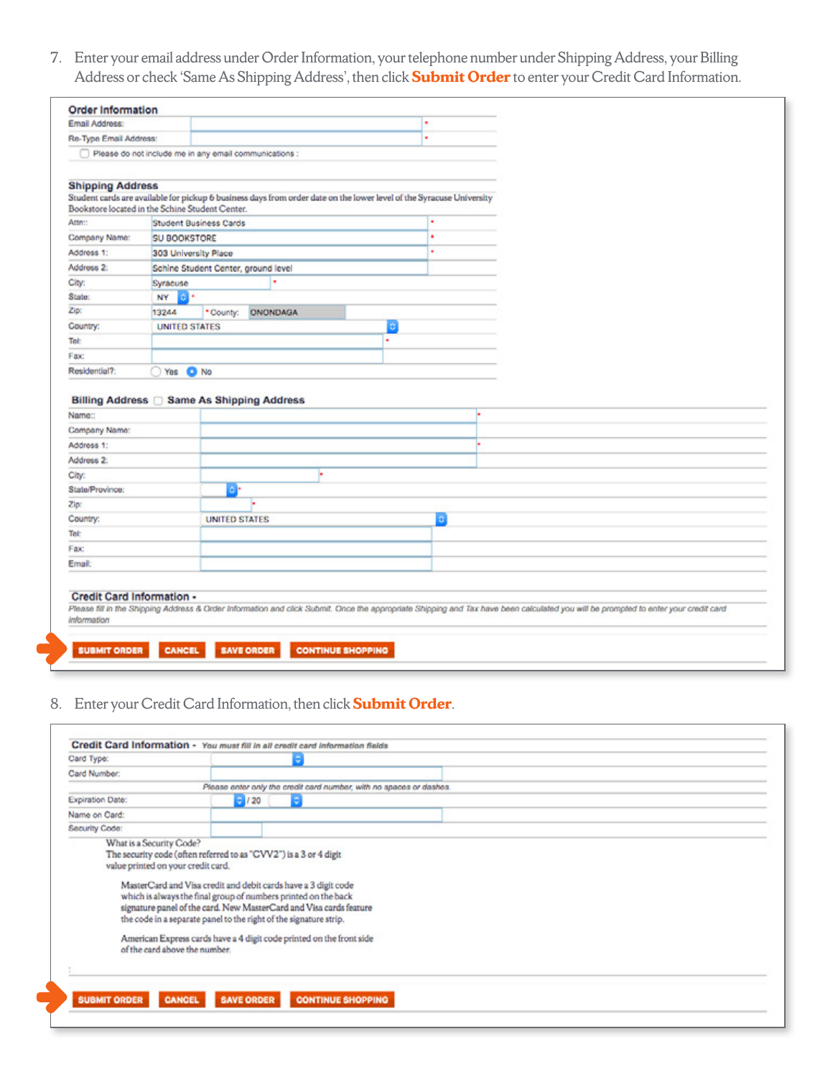7. Enter your email address under Order Information, your telephone number under Shipping Address, your Billing Address or check 'Same As Shipping Address', then click **Submit Order** to enter your Credit Card Information.

|                                                                                                                                                                                                                     |                      |                        |                                                                                                                                                                                     |   | ٠ |  |  |  |
|---------------------------------------------------------------------------------------------------------------------------------------------------------------------------------------------------------------------|----------------------|------------------------|-------------------------------------------------------------------------------------------------------------------------------------------------------------------------------------|---|---|--|--|--|
| Re-Type Email Address:                                                                                                                                                                                              |                      |                        |                                                                                                                                                                                     |   | ٠ |  |  |  |
| Please do not include me in any email communications :                                                                                                                                                              |                      |                        |                                                                                                                                                                                     |   |   |  |  |  |
|                                                                                                                                                                                                                     |                      |                        |                                                                                                                                                                                     |   |   |  |  |  |
| <b>Shipping Address</b>                                                                                                                                                                                             |                      |                        |                                                                                                                                                                                     |   |   |  |  |  |
| Bookstore located in the Schine Student Center.                                                                                                                                                                     |                      |                        | Student cards are available for pickup 6 business days from order date on the lower level of the Syracuse University                                                                |   |   |  |  |  |
| Attn::                                                                                                                                                                                                              |                      | Student Business Cards |                                                                                                                                                                                     |   | ٠ |  |  |  |
| Company Name:                                                                                                                                                                                                       | <b>SU BOOKSTORE</b>  |                        |                                                                                                                                                                                     | ٠ |   |  |  |  |
| Address 1:                                                                                                                                                                                                          | 303 University Place |                        |                                                                                                                                                                                     |   | ٠ |  |  |  |
| Address 2:                                                                                                                                                                                                          |                      |                        | Schine Student Center, ground level                                                                                                                                                 |   |   |  |  |  |
| City:                                                                                                                                                                                                               | Syracuse             |                        | ٠                                                                                                                                                                                   |   |   |  |  |  |
| State:                                                                                                                                                                                                              | NY<br>٠              |                        |                                                                                                                                                                                     |   |   |  |  |  |
| Zip:                                                                                                                                                                                                                | 13244                | * County:              | <b>ONONDAGA</b>                                                                                                                                                                     |   |   |  |  |  |
| Country:                                                                                                                                                                                                            | <b>UNITED STATES</b> |                        |                                                                                                                                                                                     | o |   |  |  |  |
| Tel:                                                                                                                                                                                                                |                      |                        |                                                                                                                                                                                     | ٠ |   |  |  |  |
|                                                                                                                                                                                                                     |                      |                        |                                                                                                                                                                                     |   |   |  |  |  |
|                                                                                                                                                                                                                     |                      |                        |                                                                                                                                                                                     |   |   |  |  |  |
|                                                                                                                                                                                                                     | $\bigcirc$ Yes       | O No                   |                                                                                                                                                                                     |   |   |  |  |  |
|                                                                                                                                                                                                                     |                      |                        |                                                                                                                                                                                     |   |   |  |  |  |
|                                                                                                                                                                                                                     |                      |                        |                                                                                                                                                                                     |   |   |  |  |  |
|                                                                                                                                                                                                                     |                      |                        |                                                                                                                                                                                     |   |   |  |  |  |
|                                                                                                                                                                                                                     |                      |                        |                                                                                                                                                                                     |   |   |  |  |  |
|                                                                                                                                                                                                                     |                      |                        |                                                                                                                                                                                     |   |   |  |  |  |
|                                                                                                                                                                                                                     |                      | ö.                     |                                                                                                                                                                                     |   |   |  |  |  |
|                                                                                                                                                                                                                     |                      |                        |                                                                                                                                                                                     |   |   |  |  |  |
|                                                                                                                                                                                                                     |                      | <b>UNITED STATES</b>   |                                                                                                                                                                                     |   | ¢ |  |  |  |
|                                                                                                                                                                                                                     |                      |                        |                                                                                                                                                                                     |   |   |  |  |  |
|                                                                                                                                                                                                                     |                      |                        |                                                                                                                                                                                     |   |   |  |  |  |
| Billing Address<br>Same As Shipping Address                                                                                                                                                                         |                      |                        |                                                                                                                                                                                     |   |   |  |  |  |
|                                                                                                                                                                                                                     |                      |                        |                                                                                                                                                                                     |   |   |  |  |  |
|                                                                                                                                                                                                                     |                      |                        |                                                                                                                                                                                     |   |   |  |  |  |
| Fax:<br>Residential?:<br>Name::<br>Company Name:<br>Address 1:<br>Address <sub>2</sub><br>City:<br>State/Province:<br>Zip:<br>Country:<br>Tel:<br>Fax:<br>Email:<br><b>Credit Card Information -</b><br>Information |                      |                        | Please fill in the Shipping Address & Order Information and click Submit. Once the appropriate Shipping and Tax have been calculated you will be prompted to enter your credit card |   |   |  |  |  |

## 8. Enter your Credit Card Information, then click **Submit Order**.

| Card Number:     |                                                                                                                                                                                                                                                                                                                    |  |
|------------------|--------------------------------------------------------------------------------------------------------------------------------------------------------------------------------------------------------------------------------------------------------------------------------------------------------------------|--|
|                  | Please enter only the credit card number, with no spaces or dashes.                                                                                                                                                                                                                                                |  |
| Expiration Date: | $-120$                                                                                                                                                                                                                                                                                                             |  |
| Name on Card:    |                                                                                                                                                                                                                                                                                                                    |  |
| Security Code:   |                                                                                                                                                                                                                                                                                                                    |  |
|                  | which is always the final group of numbers printed on the back<br>signature panel of the card. New MasterCard and Visa cards feature<br>the code in a separate panel to the right of the signature strip.<br>American Express cards have a 4 digit code printed on the front side<br>of the card above the number. |  |
|                  |                                                                                                                                                                                                                                                                                                                    |  |